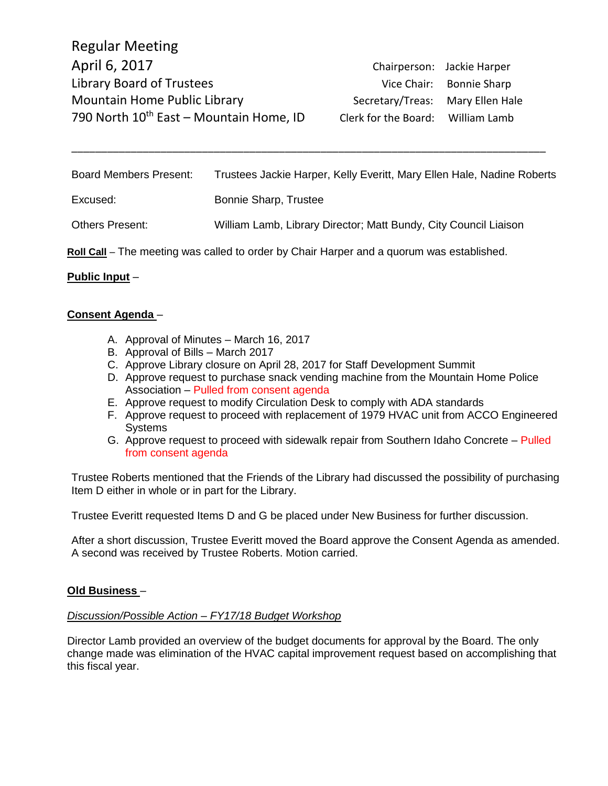| <b>Board Members Present:</b>                                                             | Trustees Jackie Harper, Kelly Everitt, Mary Ellen Hale, Nadine Roberts |
|-------------------------------------------------------------------------------------------|------------------------------------------------------------------------|
| Excused:                                                                                  | Bonnie Sharp, Trustee                                                  |
| <b>Others Present:</b>                                                                    | William Lamb, Library Director; Matt Bundy, City Council Liaison       |
| Roll Call – The meeting was called to order by Chair Harper and a quorum was established. |                                                                        |

\_\_\_\_\_\_\_\_\_\_\_\_\_\_\_\_\_\_\_\_\_\_\_\_\_\_\_\_\_\_\_\_\_\_\_\_\_\_\_\_\_\_\_\_\_\_\_\_\_\_\_\_\_\_\_\_\_\_\_\_\_\_\_\_\_\_\_\_\_\_\_\_\_\_\_\_\_\_\_\_

# **Public Input** –

## **Consent Agenda** –

- A. Approval of Minutes March 16, 2017
- B. Approval of Bills March 2017
- C. Approve Library closure on April 28, 2017 for Staff Development Summit
- D. Approve request to purchase snack vending machine from the Mountain Home Police Association – Pulled from consent agenda
- E. Approve request to modify Circulation Desk to comply with ADA standards
- F. Approve request to proceed with replacement of 1979 HVAC unit from ACCO Engineered **Systems**
- G. Approve request to proceed with sidewalk repair from Southern Idaho Concrete Pulled from consent agenda

Trustee Roberts mentioned that the Friends of the Library had discussed the possibility of purchasing Item D either in whole or in part for the Library.

Trustee Everitt requested Items D and G be placed under New Business for further discussion.

After a short discussion, Trustee Everitt moved the Board approve the Consent Agenda as amended. A second was received by Trustee Roberts. Motion carried.

### **Old Business** –

## *Discussion/Possible Action – FY17/18 Budget Workshop*

Director Lamb provided an overview of the budget documents for approval by the Board. The only change made was elimination of the HVAC capital improvement request based on accomplishing that this fiscal year.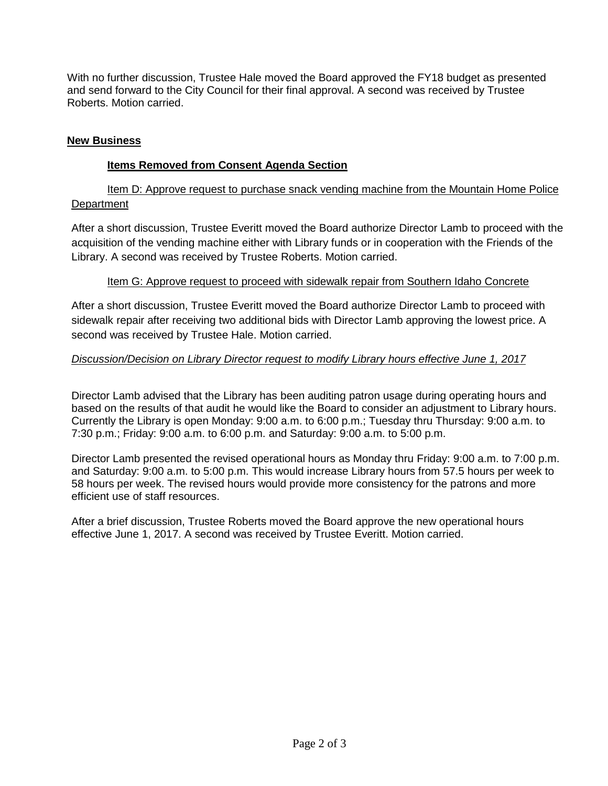With no further discussion, Trustee Hale moved the Board approved the FY18 budget as presented and send forward to the City Council for their final approval. A second was received by Trustee Roberts. Motion carried.

#### **New Business**

#### **Items Removed from Consent Agenda Section**

Item D: Approve request to purchase snack vending machine from the Mountain Home Police **Department** 

After a short discussion, Trustee Everitt moved the Board authorize Director Lamb to proceed with the acquisition of the vending machine either with Library funds or in cooperation with the Friends of the Library. A second was received by Trustee Roberts. Motion carried.

#### Item G: Approve request to proceed with sidewalk repair from Southern Idaho Concrete

After a short discussion, Trustee Everitt moved the Board authorize Director Lamb to proceed with sidewalk repair after receiving two additional bids with Director Lamb approving the lowest price. A second was received by Trustee Hale. Motion carried.

#### *Discussion/Decision on Library Director request to modify Library hours effective June 1, 2017*

Director Lamb advised that the Library has been auditing patron usage during operating hours and based on the results of that audit he would like the Board to consider an adjustment to Library hours. Currently the Library is open Monday: 9:00 a.m. to 6:00 p.m.; Tuesday thru Thursday: 9:00 a.m. to 7:30 p.m.; Friday: 9:00 a.m. to 6:00 p.m. and Saturday: 9:00 a.m. to 5:00 p.m.

Director Lamb presented the revised operational hours as Monday thru Friday: 9:00 a.m. to 7:00 p.m. and Saturday: 9:00 a.m. to 5:00 p.m. This would increase Library hours from 57.5 hours per week to 58 hours per week. The revised hours would provide more consistency for the patrons and more efficient use of staff resources.

After a brief discussion, Trustee Roberts moved the Board approve the new operational hours effective June 1, 2017. A second was received by Trustee Everitt. Motion carried.